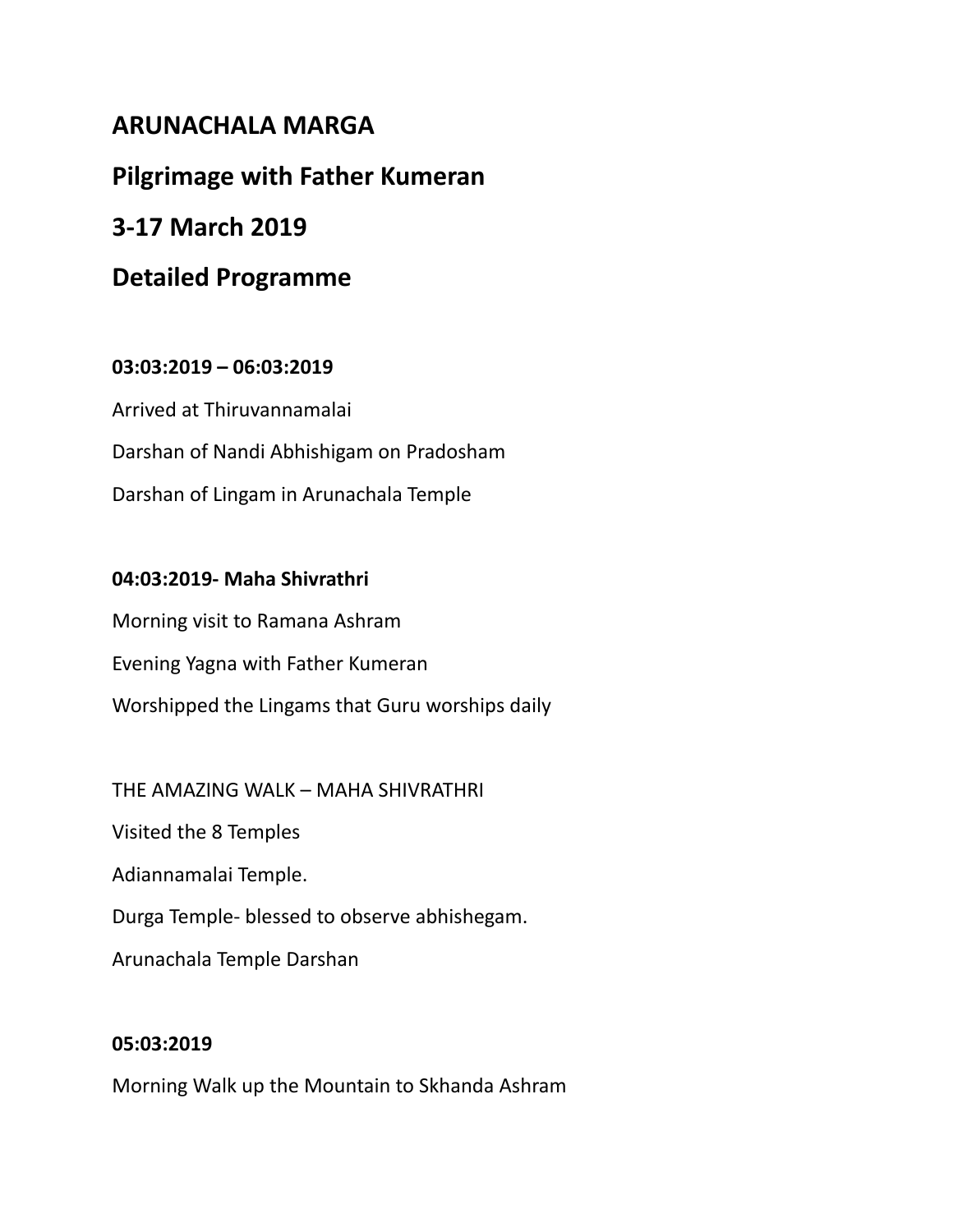# **ARUNACHALA MARGA**

# **Pilgrimage with Father Kumeran**

# **3-17 March 2019**

# **Detailed Programme**

## **03:03:2019 – 06:03:2019**

Arrived at Thiruvannamalai Darshan of Nandi Abhishigam on Pradosham Darshan of Lingam in Arunachala Temple

## **04:03:2019- Maha Shivrathri**

Morning visit to Ramana Ashram Evening Yagna with Father Kumeran Worshipped the Lingams that Guru worships daily

THE AMAZING WALK – MAHA SHIVRATHRI Visited the 8 Temples Adiannamalai Temple. Durga Temple- blessed to observe abhishegam.

# Arunachala Temple Darshan

## **05:03:2019**

Morning Walk up the Mountain to Skhanda Ashram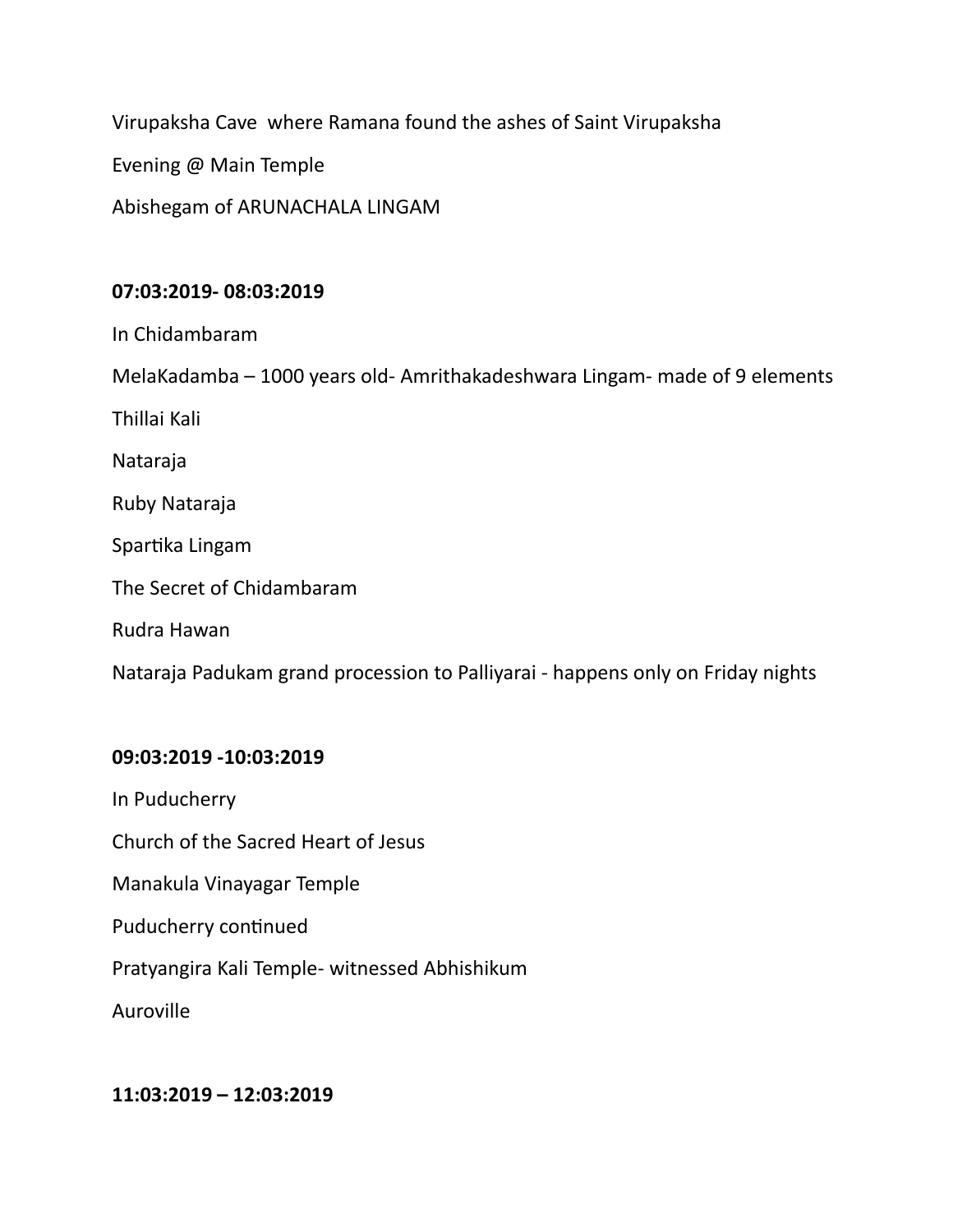Virupaksha Cave where Ramana found the ashes of Saint Virupaksha

Evening @ Main Temple

Abishegam of ARUNACHALA LINGAM

### **07:03:2019- 08:03:2019**

In Chidambaram

MelaKadamba – 1000 years old- Amrithakadeshwara Lingam- made of 9 elements

Thillai Kali

Nataraja

Ruby Nataraja

Spartika Lingam

The Secret of Chidambaram

Rudra Hawan

Nataraja Padukam grand procession to Palliyarai - happens only on Friday nights

### **09:03:2019 -10:03:2019**

In Puducherry

Church of the Sacred Heart of Jesus

Manakula Vinayagar Temple

Puducherry continued

Pratyangira Kali Temple- witnessed Abhishikum

Auroville

#### **11:03:2019 – 12:03:2019**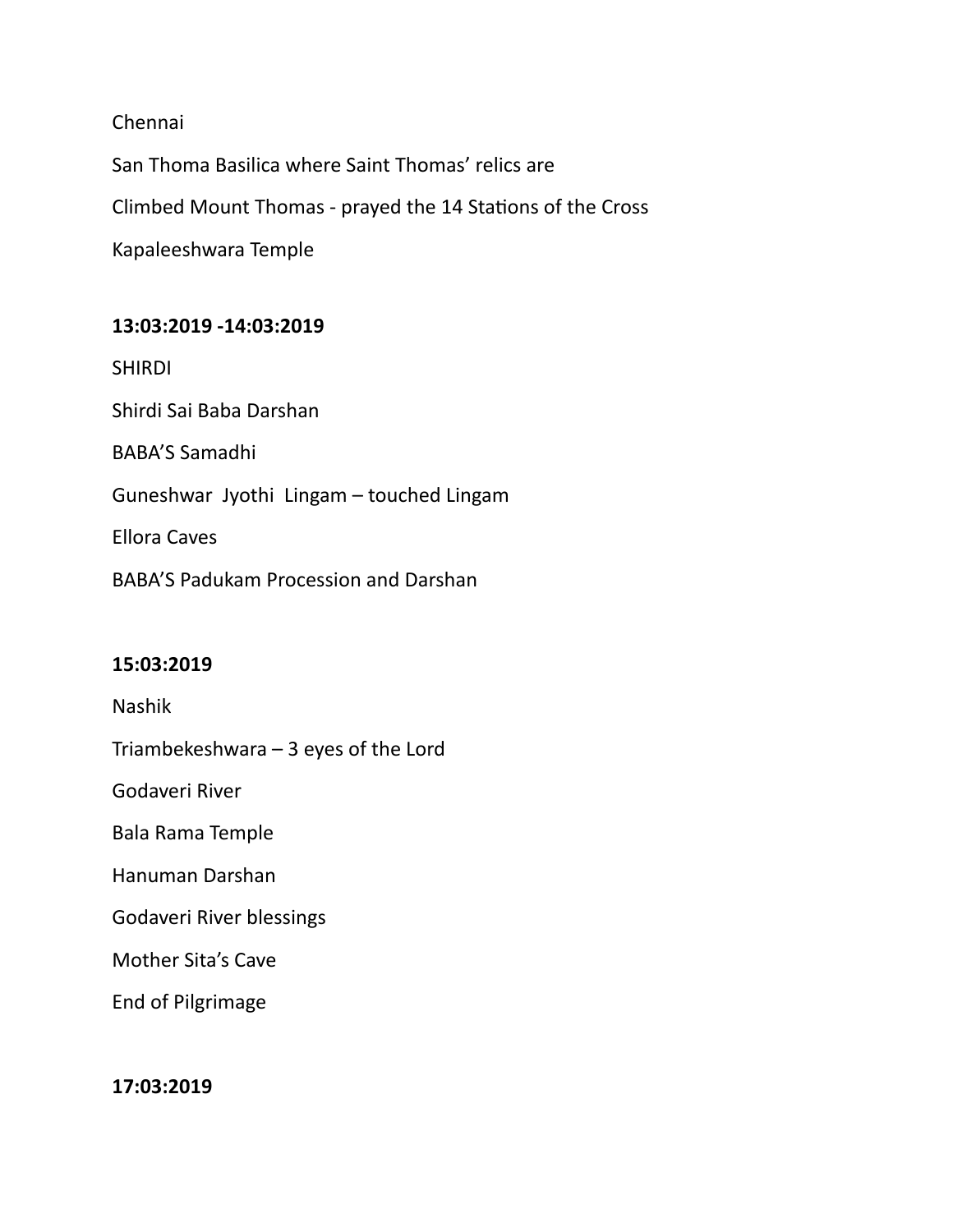Chennai

San Thoma Basilica where Saint Thomas' relics are Climbed Mount Thomas - prayed the 14 Stations of the Cross Kapaleeshwara Temple

## **13:03:2019 -14:03:2019**

SHIRDI

Shirdi Sai Baba Darshan

BABA'S Samadhi

Guneshwar Jyothi Lingam – touched Lingam

Ellora Caves

BABA'S Padukam Procession and Darshan

### **15:03:2019**

Nashik

Triambekeshwara – 3 eyes of the Lord

Godaveri River

Bala Rama Temple

Hanuman Darshan

Godaveri River blessings

Mother Sita's Cave

End of Pilgrimage

### **17:03:2019**